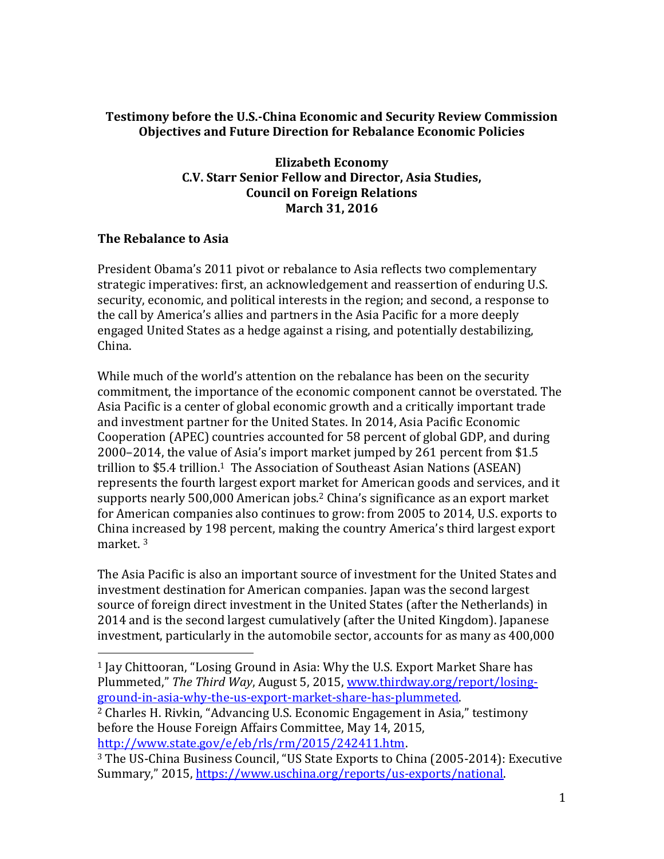## **Testimony before the U.S.-China Economic and Security Review Commission Objectives and Future Direction for Rebalance Economic Policies**

**Elizabeth Economy C.V. Starr Senior Fellow and Director, Asia Studies, Council on Foreign Relations March 31, 2016**

## **The Rebalance to Asia**

President Obama's 2011 pivot or rebalance to Asia reflects two complementary strategic imperatives: first, an acknowledgement and reassertion of enduring U.S. security, economic, and political interests in the region; and second, a response to the call by America's allies and partners in the Asia Pacific for a more deeply engaged United States as a hedge against a rising, and potentially destabilizing, China.

While much of the world's attention on the rebalance has been on the security commitment, the importance of the economic component cannot be overstated. The Asia Pacific is a center of global economic growth and a critically important trade and investment partner for the United States. In 2014, Asia Pacific Economic Cooperation (APEC) countries accounted for 58 percent of global GDP, and during 2000–2014, the value of Asia's import market jumped by 261 percent from \$1.5 trillion to \$5.4 trillion.<sup>1</sup> The Association of Southeast Asian Nations (ASEAN) represents the fourth largest export market for American goods and services, and it supports nearly 500,000 American jobs.<sup>2</sup> China's significance as an export market for American companies also continues to grow: from 2005 to 2014, U.S. exports to China increased by 198 percent, making the country America's third largest export market. <sup>3</sup>

The Asia Pacific is also an important source of investment for the United States and investment destination for American companies. Japan was the second largest source of foreign direct investment in the United States (after the Netherlands) in 2014 and is the second largest cumulatively (after the United Kingdom). Japanese investment, particularly in the automobile sector, accounts for as many as 400,000

 $\overline{a}$ <sup>1</sup> Jay Chittooran, "Losing Ground in Asia: Why the U.S. Export Market Share has Plummeted," *The Third Way*, August 5, 2015, [www.thirdway.org/report/losing](http://www.thirdway.org/report/losing-ground-in-asia-why-the-us-export-market-share-has-plummeted)[ground-in-asia-why-the-us-export-market-share-has-plummeted.](http://www.thirdway.org/report/losing-ground-in-asia-why-the-us-export-market-share-has-plummeted) <sup>2</sup> Charles H. Rivkin, "Advancing U.S. Economic Engagement in Asia," testimony

before the House Foreign Affairs Committee, May 14, 2015, [http://www.state.gov/e/eb/rls/rm/2015/242411.htm.](http://www.state.gov/e/eb/rls/rm/2015/242411.htm)

<sup>3</sup> The US-China Business Council, "US State Exports to China (2005-2014): Executive Summary," 2015, [https://www.uschina.org/reports/us-exports/national.](https://www.uschina.org/reports/us-exports/national)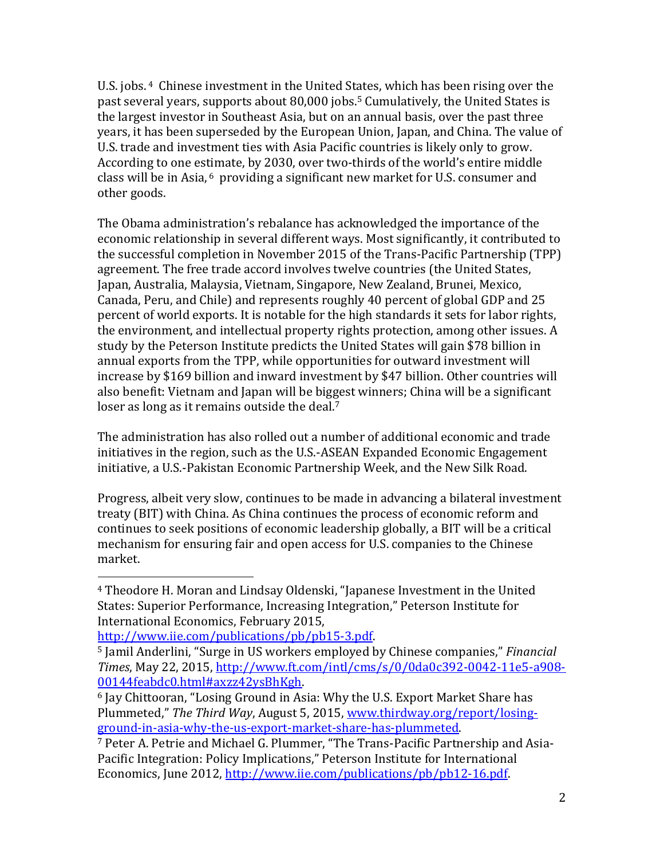U.S. jobs. <sup>4</sup> Chinese investment in the United States, which has been rising over the past several years, supports about 80,000 jobs.<sup>5</sup> Cumulatively, the United States is the largest investor in Southeast Asia, but on an annual basis, over the past three years, it has been superseded by the European Union, Japan, and China. The value of U.S. trade and investment ties with Asia Pacific countries is likely only to grow. According to one estimate, by 2030, over two-thirds of the world's entire middle class will be in Asia, <sup>6</sup> providing a significant new market for U.S. consumer and other goods.

The Obama administration's rebalance has acknowledged the importance of the economic relationship in several different ways. Most significantly, it contributed to the successful completion in November 2015 of the Trans-Pacific Partnership (TPP) agreement. The free trade accord involves twelve countries (the United States, Japan, Australia, Malaysia, Vietnam, Singapore, New Zealand, Brunei, Mexico, Canada, Peru, and Chile) and represents roughly 40 percent of global GDP and 25 percent of world exports. It is notable for the high standards it sets for labor rights, the environment, and intellectual property rights protection, among other issues. A study by the Peterson Institute predicts the United States will gain \$78 billion in annual exports from the TPP, while opportunities for outward investment will increase by \$169 billion and inward investment by \$47 billion. Other countries will also benefit: Vietnam and Japan will be biggest winners; China will be a significant loser as long as it remains outside the deal.<sup>7</sup>

The administration has also rolled out a number of additional economic and trade initiatives in the region, such as the U.S.-ASEAN Expanded Economic Engagement initiative, a U.S.-Pakistan Economic Partnership Week, and the New Silk Road.

Progress, albeit very slow, continues to be made in advancing a bilateral investment treaty (BIT) with China. As China continues the process of economic reform and continues to seek positions of economic leadership globally, a BIT will be a critical mechanism for ensuring fair and open access for U.S. companies to the Chinese market.

 $\overline{a}$ 

<sup>4</sup> Theodore H. Moran and Lindsay Oldenski, "Japanese Investment in the United States: Superior Performance, Increasing Integration," Peterson Institute for International Economics, February 2015,

[http://www.iie.com/publications/pb/pb15-3.pdf.](http://www.iie.com/publications/pb/pb15-3.pdf)

<sup>5</sup> Jamil Anderlini, "Surge in US workers employed by Chinese companies," *Financial Times*, May 22, 2015, [http://www.ft.com/intl/cms/s/0/0da0c392-0042-11e5-a908-](http://www.ft.com/intl/cms/s/0/0da0c392-0042-11e5-a908-00144feabdc0.html#axzz42ysBhKgh) [00144feabdc0.html#axzz42ysBhKgh.](http://www.ft.com/intl/cms/s/0/0da0c392-0042-11e5-a908-00144feabdc0.html#axzz42ysBhKgh)

<sup>6</sup> Jay Chittooran, "Losing Ground in Asia: Why the U.S. Export Market Share has Plummeted," *The Third Way*, August 5, 2015, [www.thirdway.org/report/losing](http://www.thirdway.org/report/losing-ground-in-asia-why-the-us-export-market-share-has-plummeted)[ground-in-asia-why-the-us-export-market-share-has-plummeted.](http://www.thirdway.org/report/losing-ground-in-asia-why-the-us-export-market-share-has-plummeted)

<sup>7</sup> Peter A. Petrie and Michael G. Plummer, "The Trans-Pacific Partnership and Asia-Pacific Integration: Policy Implications," Peterson Institute for International Economics, June 2012, [http://www.iie.com/publications/pb/pb12-16.pdf.](http://www.iie.com/publications/pb/pb12-16.pdf)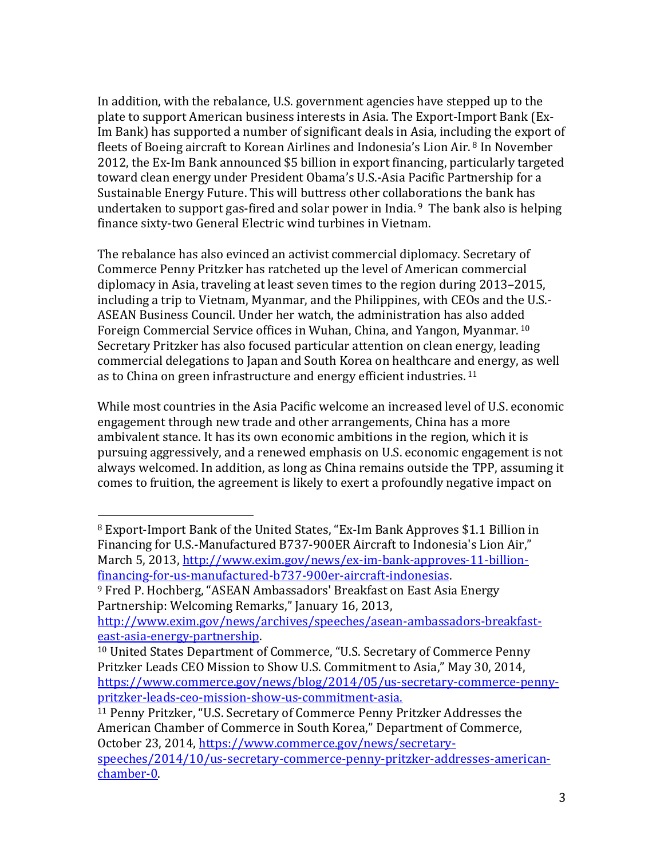In addition, with the rebalance, U.S. government agencies have stepped up to the plate to support American business interests in Asia. The Export-Import Bank (Ex-Im Bank) has supported a number of significant deals in Asia, including the export of fleets of Boeing aircraft to Korean Airlines and Indonesia's Lion Air. <sup>8</sup> In November 2012, the Ex-Im Bank announced \$5 billion in export financing, particularly targeted toward clean energy under President Obama's U.S.-Asia Pacific Partnership for a Sustainable Energy Future. This will buttress other collaborations the bank has undertaken to support gas-fired and solar power in India. <sup>9</sup> The bank also is helping finance sixty-two General Electric wind turbines in Vietnam.

The rebalance has also evinced an activist commercial diplomacy. Secretary of Commerce Penny Pritzker has ratcheted up the level of American commercial diplomacy in Asia, traveling at least seven times to the region during 2013–2015, including a trip to Vietnam, Myanmar, and the Philippines, with CEOs and the U.S.- ASEAN Business Council. Under her watch, the administration has also added Foreign Commercial Service offices in Wuhan, China, and Yangon, Myanmar. 10 Secretary Pritzker has also focused particular attention on clean energy, leading commercial delegations to Japan and South Korea on healthcare and energy, as well as to China on green infrastructure and energy efficient industries. 11

While most countries in the Asia Pacific welcome an increased level of U.S. economic engagement through new trade and other arrangements, China has a more ambivalent stance. It has its own economic ambitions in the region, which it is pursuing aggressively, and a renewed emphasis on U.S. economic engagement is not always welcomed. In addition, as long as China remains outside the TPP, assuming it comes to fruition, the agreement is likely to exert a profoundly negative impact on

 $\overline{a}$ <sup>8</sup> Export-Import Bank of the United States, "Ex-Im Bank Approves \$1.1 Billion in Financing for U.S.-Manufactured B737-900ER Aircraft to Indonesia's Lion Air," March 5, 2013, [http://www.exim.gov/news/ex-im-bank-approves-11-billion](http://www.exim.gov/news/ex-im-bank-approves-11-billion-financing-for-us-manufactured-b737-900er-aircraft-indonesias)[financing-for-us-manufactured-b737-900er-aircraft-indonesias.](http://www.exim.gov/news/ex-im-bank-approves-11-billion-financing-for-us-manufactured-b737-900er-aircraft-indonesias)

<sup>9</sup> Fred P. Hochberg, "ASEAN Ambassadors' Breakfast on East Asia Energy Partnership: Welcoming Remarks," January 16, 2013,

[http://www.exim.gov/news/archives/speeches/asean-ambassadors-breakfast](http://www.exim.gov/news/archives/speeches/asean-ambassadors-breakfast-east-asia-energy-partnership)[east-asia-energy-partnership.](http://www.exim.gov/news/archives/speeches/asean-ambassadors-breakfast-east-asia-energy-partnership) 

<sup>10</sup> United States Department of Commerce, "U.S. Secretary of Commerce Penny Pritzker Leads CEO Mission to Show U.S. Commitment to Asia," May 30, 2014, [https://www.commerce.gov/news/blog/2014/05/us-secretary-commerce-penny](https://www.commerce.gov/news/blog/2014/05/us-secretary-commerce-penny-pritzker-leads-ceo-mission-show-us-commitment-asia)[pritzker-leads-ceo-mission-show-us-commitment-asia.](https://www.commerce.gov/news/blog/2014/05/us-secretary-commerce-penny-pritzker-leads-ceo-mission-show-us-commitment-asia)

<sup>11</sup> Penny Pritzker, "U.S. Secretary of Commerce Penny Pritzker Addresses the American Chamber of Commerce in South Korea," Department of Commerce, October 23, 2014, [https://www.commerce.gov/news/secretary](https://www.commerce.gov/news/secretary-speeches/2014/10/us-secretary-commerce-penny-pritzker-addresses-american-chamber-0)[speeches/2014/10/us-secretary-commerce-penny-pritzker-addresses-american](https://www.commerce.gov/news/secretary-speeches/2014/10/us-secretary-commerce-penny-pritzker-addresses-american-chamber-0)[chamber-0.](https://www.commerce.gov/news/secretary-speeches/2014/10/us-secretary-commerce-penny-pritzker-addresses-american-chamber-0)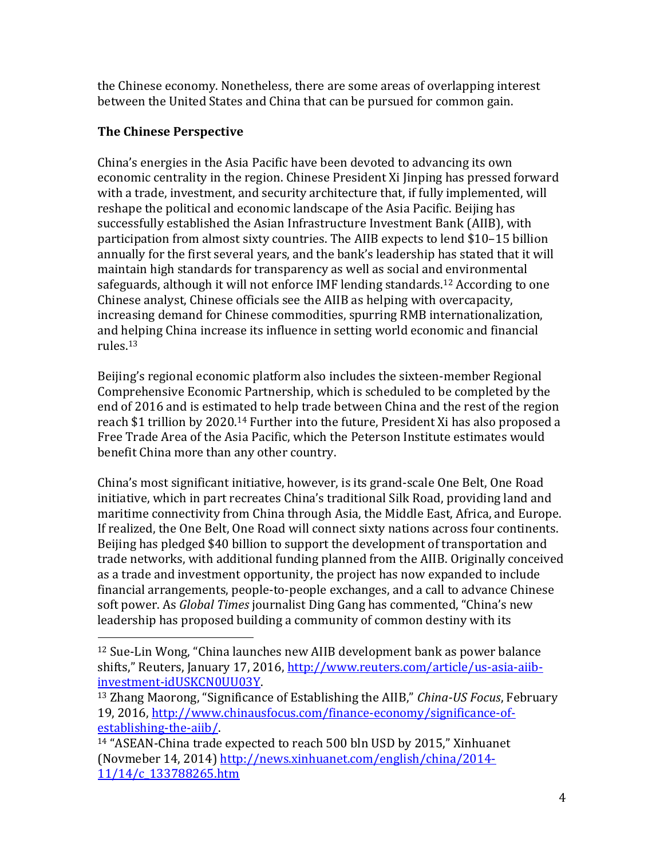the Chinese economy. Nonetheless, there are some areas of overlapping interest between the United States and China that can be pursued for common gain.

## **The Chinese Perspective**

 $\overline{a}$ 

China's energies in the Asia Pacific have been devoted to advancing its own economic centrality in the region. Chinese President Xi Jinping has pressed forward with a trade, investment, and security architecture that, if fully implemented, will reshape the political and economic landscape of the Asia Pacific. Beijing has successfully established the Asian Infrastructure Investment Bank (AIIB), with participation from almost sixty countries. The AIIB expects to lend \$10–15 billion annually for the first several years, and the bank's leadership has stated that it will maintain high standards for transparency as well as social and environmental safeguards, although it will not enforce IMF lending standards.<sup>12</sup> According to one Chinese analyst, Chinese officials see the AIIB as helping with overcapacity, increasing demand for Chinese commodities, spurring RMB internationalization, and helping China increase its influence in setting world economic and financial rules.<sup>13</sup>

Beijing's regional economic platform also includes the sixteen-member Regional Comprehensive Economic Partnership, which is scheduled to be completed by the end of 2016 and is estimated to help trade between China and the rest of the region reach \$1 trillion by 2020.<sup>14</sup> Further into the future, President Xi has also proposed a Free Trade Area of the Asia Pacific, which the Peterson Institute estimates would benefit China more than any other country.

China's most significant initiative, however, is its grand-scale One Belt, One Road initiative, which in part recreates China's traditional Silk Road, providing land and maritime connectivity from China through Asia, the Middle East, Africa, and Europe. If realized, the One Belt, One Road will connect sixty nations across four continents. Beijing has pledged \$40 billion to support the development of transportation and trade networks, with additional funding planned from the AIIB. Originally conceived as a trade and investment opportunity, the project has now expanded to include financial arrangements, people-to-people exchanges, and a call to advance Chinese soft power. As *Global Times* journalist Ding Gang has commented, "China's new leadership has proposed building a community of common destiny with its

<sup>12</sup> Sue-Lin Wong, "China launches new AIIB development bank as power balance shifts," Reuters, January 17, 2016, [http://www.reuters.com/article/us-asia-aiib](http://www.reuters.com/article/us-asia-aiib-investment-idUSKCN0UU03Y)[investment-idUSKCN0UU03Y.](http://www.reuters.com/article/us-asia-aiib-investment-idUSKCN0UU03Y)

<sup>13</sup> Zhang Maorong, "Significance of Establishing the AIIB," *China-US Focus*, February 19, 2016, [http://www.chinausfocus.com/finance-economy/significance-of](http://www.chinausfocus.com/finance-economy/significance-of-establishing-the-aiib/)[establishing-the-aiib/.](http://www.chinausfocus.com/finance-economy/significance-of-establishing-the-aiib/) 

<sup>14</sup> "ASEAN-China trade expected to reach 500 bln USD by 2015," Xinhuanet (Novmeber 14, 2014) [http://news.xinhuanet.com/english/china/2014-](http://news.xinhuanet.com/english/china/2014-11/14/c_133788265.htm) [11/14/c\\_133788265.htm](http://news.xinhuanet.com/english/china/2014-11/14/c_133788265.htm)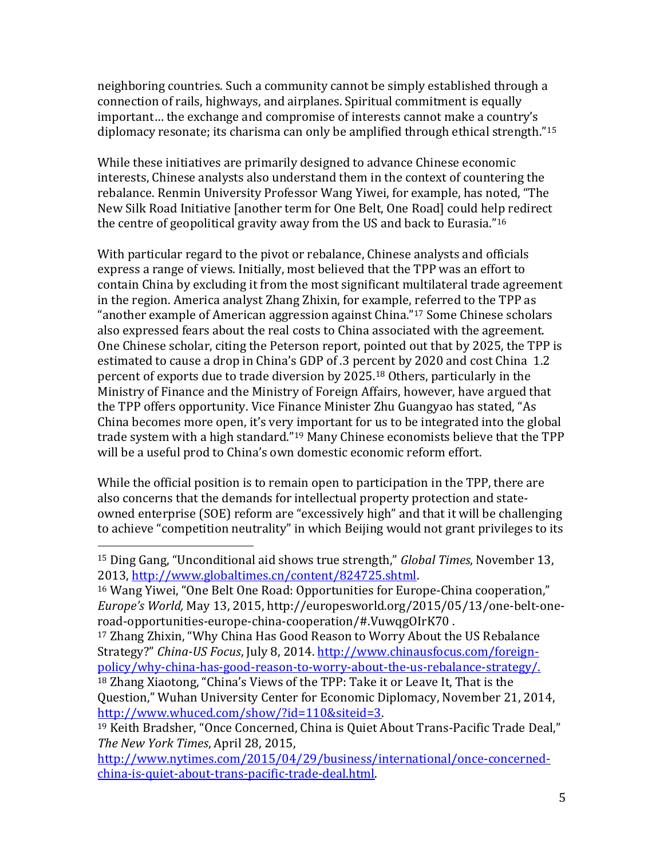neighboring countries. Such a community cannot be simply established through a connection of rails, highways, and airplanes. Spiritual commitment is equally important… the exchange and compromise of interests cannot make a country's diplomacy resonate; its charisma can only be amplified through ethical strength."<sup>15</sup>

While these initiatives are primarily designed to advance Chinese economic interests, Chinese analysts also understand them in the context of countering the rebalance. Renmin University Professor Wang Yiwei, for example, has noted, "The New Silk Road Initiative [another term for One Belt, One Road] could help redirect the centre of geopolitical gravity away from the US and back to Eurasia."<sup>16</sup>

With particular regard to the pivot or rebalance, Chinese analysts and officials express a range of views. Initially, most believed that the TPP was an effort to contain China by excluding it from the most significant multilateral trade agreement in the region. America analyst Zhang Zhixin, for example, referred to the TPP as "another example of American aggression against China."<sup>17</sup> Some Chinese scholars also expressed fears about the real costs to China associated with the agreement. One Chinese scholar, citing the Peterson report, pointed out that by 2025, the TPP is estimated to cause a drop in China's GDP of .3 percent by 2020 and cost China 1.2 percent of exports due to trade diversion by 2025. <sup>18</sup> Others, particularly in the Ministry of Finance and the Ministry of Foreign Affairs, however, have argued that the TPP offers opportunity. Vice Finance Minister Zhu Guangyao has stated, "As China becomes more open, it's very important for us to be integrated into the global trade system with a high standard."<sup>19</sup> Many Chinese economists believe that the TPP will be a useful prod to China's own domestic economic reform effort.

While the official position is to remain open to participation in the TPP, there are also concerns that the demands for intellectual property protection and stateowned enterprise (SOE) reform are "excessively high" and that it will be challenging to achieve "competition neutrality" in which Beijing would not grant privileges to its

 $\overline{a}$ 

[http://www.nytimes.com/2015/04/29/business/international/once-concerned](http://www.nytimes.com/2015/04/29/business/international/once-concerned-china-is-quiet-about-trans-pacific-trade-deal.html)[china-is-quiet-about-trans-pacific-trade-deal.html.](http://www.nytimes.com/2015/04/29/business/international/once-concerned-china-is-quiet-about-trans-pacific-trade-deal.html)

<sup>15</sup> Ding Gang, "Unconditional aid shows true strength," *Global Times*, November 13, 2013, [http://www.globaltimes.cn/content/824725.shtml.](http://www.globaltimes.cn/content/824725.shtml)

<sup>16</sup> Wang Yiwei, "One Belt One Road: Opportunities for Europe-China cooperation," *Europe's World,* May 13, 2015, http://europesworld.org/2015/05/13/one-belt-oneroad-opportunities-europe-china-cooperation/#.VuwqgOIrK70 .

<sup>17</sup> Zhang Zhixin, "Why China Has Good Reason to Worry About the US Rebalance Strategy?" *China-US Focus*, July 8, 2014. [http://www.chinausfocus.com/foreign](http://www.chinausfocus.com/foreign-policy/why-china-has-good-reason-to-worry-about-the-us-rebalance-strategy/)[policy/why-china-has-good-reason-to-worry-about-the-us-rebalance-strategy/.](http://www.chinausfocus.com/foreign-policy/why-china-has-good-reason-to-worry-about-the-us-rebalance-strategy/)

<sup>18</sup> Zhang Xiaotong, "China's Views of the TPP: Take it or Leave It, That is the Question," Wuhan University Center for Economic Diplomacy, November 21, 2014, [http://www.whuced.com/show/?id=110&siteid=3.](http://www.whuced.com/show/?id=110&siteid=3)

<sup>19</sup> Keith Bradsher, "Once Concerned, China is Quiet About Trans-Pacific Trade Deal," *The New York Times*, April 28, 2015,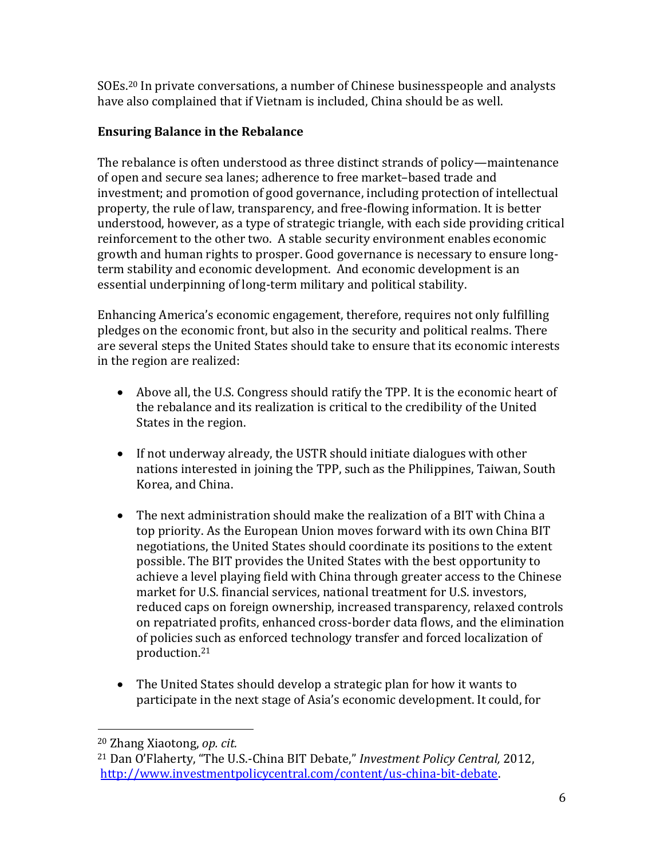SOEs.<sup>20</sup> In private conversations, a number of Chinese businesspeople and analysts have also complained that if Vietnam is included, China should be as well.

## **Ensuring Balance in the Rebalance**

The rebalance is often understood as three distinct strands of policy—maintenance of open and secure sea lanes; adherence to free market–based trade and investment; and promotion of good governance, including protection of intellectual property, the rule of law, transparency, and free-flowing information. It is better understood, however, as a type of strategic triangle, with each side providing critical reinforcement to the other two. A stable security environment enables economic growth and human rights to prosper. Good governance is necessary to ensure longterm stability and economic development. And economic development is an essential underpinning of long-term military and political stability.

Enhancing America's economic engagement, therefore, requires not only fulfilling pledges on the economic front, but also in the security and political realms. There are several steps the United States should take to ensure that its economic interests in the region are realized:

- Above all, the U.S. Congress should ratify the TPP. It is the economic heart of the rebalance and its realization is critical to the credibility of the United States in the region.
- If not underway already, the USTR should initiate dialogues with other nations interested in joining the TPP, such as the Philippines, Taiwan, South Korea, and China.
- The next administration should make the realization of a BIT with China a top priority. As the European Union moves forward with its own China BIT negotiations, the United States should coordinate its positions to the extent possible. The BIT provides the United States with the best opportunity to achieve a level playing field with China through greater access to the Chinese market for U.S. financial services, national treatment for U.S. investors, reduced caps on foreign ownership, increased transparency, relaxed controls on repatriated profits, enhanced cross-border data flows, and the elimination of policies such as enforced technology transfer and forced localization of production.<sup>21</sup>
- The United States should develop a strategic plan for how it wants to participate in the next stage of Asia's economic development. It could, for

 $\overline{a}$ 

<sup>20</sup> Zhang Xiaotong, *op. cit.* 

<sup>21</sup> Dan O'Flaherty, "The U.S.-China BIT Debate," *Investment Policy Central,* 2012, [http://www.investmentpolicycentral.com/content/us-china-bit-debate.](http://www.investmentpolicycentral.com/content/us-china-bit-debate)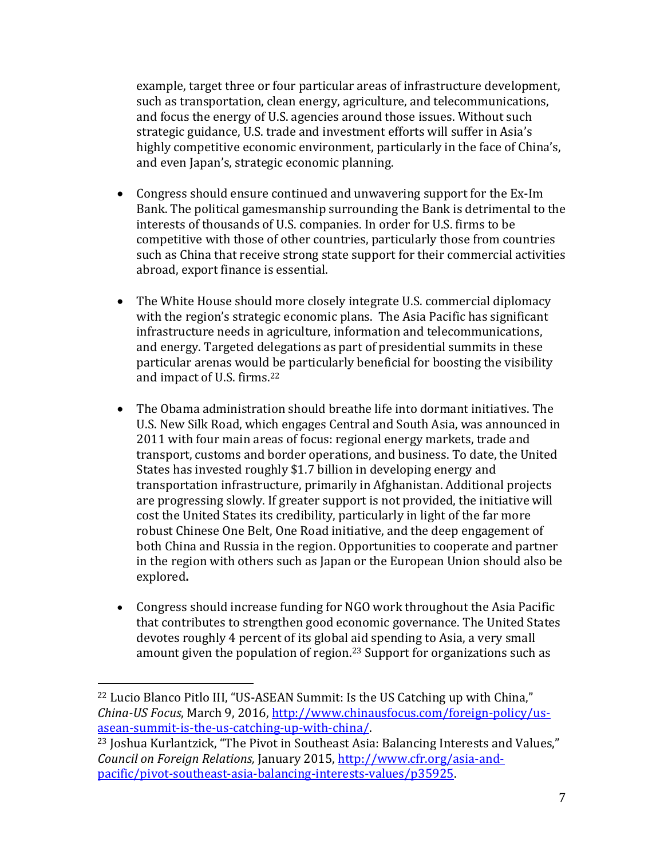example, target three or four particular areas of infrastructure development, such as transportation, clean energy, agriculture, and telecommunications, and focus the energy of U.S. agencies around those issues. Without such strategic guidance, U.S. trade and investment efforts will suffer in Asia's highly competitive economic environment, particularly in the face of China's, and even Japan's, strategic economic planning.

- Congress should ensure continued and unwavering support for the Ex-Im Bank. The political gamesmanship surrounding the Bank is detrimental to the interests of thousands of U.S. companies. In order for U.S. firms to be competitive with those of other countries, particularly those from countries such as China that receive strong state support for their commercial activities abroad, export finance is essential.
- The White House should more closely integrate U.S. commercial diplomacy with the region's strategic economic plans. The Asia Pacific has significant infrastructure needs in agriculture, information and telecommunications, and energy. Targeted delegations as part of presidential summits in these particular arenas would be particularly beneficial for boosting the visibility and impact of U.S. firms.<sup>22</sup>
- The Obama administration should breathe life into dormant initiatives. The U.S. New Silk Road, which engages Central and South Asia, was announced in 2011 with four main areas of focus: regional energy markets, trade and transport, customs and border operations, and business. To date, the United States has invested roughly \$1.7 billion in developing energy and transportation infrastructure, primarily in Afghanistan. Additional projects are progressing slowly. If greater support is not provided, the initiative will cost the United States its credibility, particularly in light of the far more robust Chinese One Belt, One Road initiative, and the deep engagement of both China and Russia in the region. Opportunities to cooperate and partner in the region with others such as Japan or the European Union should also be explored**.**
- Congress should increase funding for NGO work throughout the Asia Pacific that contributes to strengthen good economic governance. The United States devotes roughly 4 percent of its global aid spending to Asia, a very small amount given the population of region. <sup>23</sup> Support for organizations such as

 $\overline{a}$ 

<sup>22</sup> Lucio Blanco Pitlo III, "US-ASEAN Summit: Is the US Catching up with China," *China-US Focus*, March 9, 2016, [http://www.chinausfocus.com/foreign-policy/us](http://www.chinausfocus.com/foreign-policy/us-asean-summit-is-the-us-catching-up-with-china/)[asean-summit-is-the-us-catching-up-with-china/.](http://www.chinausfocus.com/foreign-policy/us-asean-summit-is-the-us-catching-up-with-china/)

<sup>23</sup> Joshua Kurlantzick, "The Pivot in Southeast Asia: Balancing Interests and Values," *Council on Foreign Relations,* January 2015, [http://www.cfr.org/asia-and](http://www.cfr.org/asia-and-pacific/pivot-southeast-asia-balancing-interests-values/p35925)[pacific/pivot-southeast-asia-balancing-interests-values/p35925.](http://www.cfr.org/asia-and-pacific/pivot-southeast-asia-balancing-interests-values/p35925)